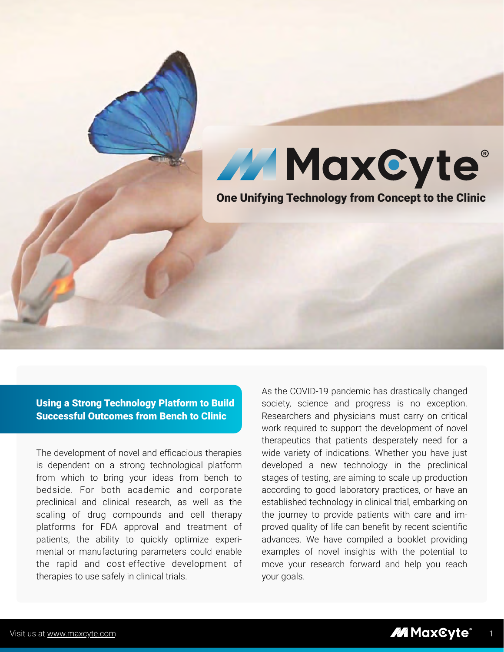



One Unifying Technology from Concept to the Clinic

Using a Strong Technology Platform to Build Successful Outcomes from Bench to Clinic

The development of novel and efficacious therapies is dependent on a strong technological platform from which to bring your ideas from bench to bedside. For both academic and corporate preclinical and clinical research, as well as the scaling of drug compounds and cell therapy platforms for FDA approval and treatment of patients, the ability to quickly optimize experimental or manufacturing parameters could enable the rapid and cost-effective development of therapies to use safely in clinical trials.

As the COVID-19 pandemic has drastically changed society, science and progress is no exception. Researchers and physicians must carry on critical work required to support the development of novel therapeutics that patients desperately need for a wide variety of indications. Whether you have just developed a new technology in the preclinical stages of testing, are aiming to scale up production according to good laboratory practices, or have an established technology in clinical trial, embarking on the journey to provide patients with care and improved quality of life can benefit by recent scientific advances. We have compiled a booklet providing examples of novel insights with the potential to move your research forward and help you reach your goals.

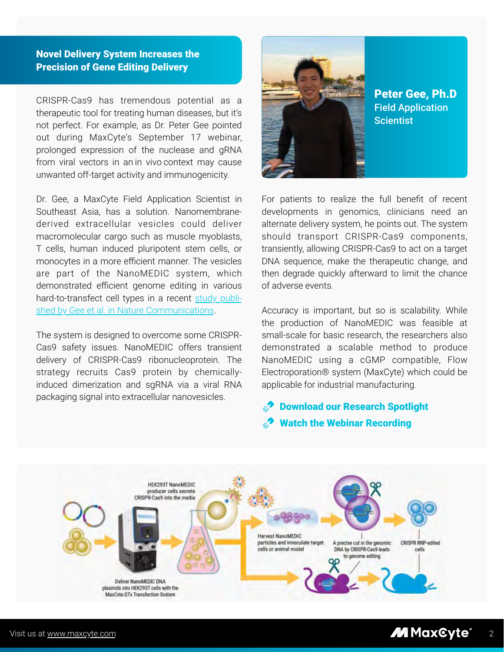# Novel Delivery System Increases the Precision of Gene Editing Delivery

CRISPR-Cas9 has tremendous potential as a therapeutic tool for treating human diseases, but it's not perfect. For example, as Dr. Peter Gee pointed out during MaxCyte's September 17 webinar, prolonged expression of the nuclease and gRNA from viral vectors in an in vivo context may cause unwanted off-target activity and immunogenicity.

Dr. Gee, a MaxCyte Field Application Scientist in Southeast Asia, has a solution. Nanomembranederived extracellular vesicles could deliver macromolecular cargo such as muscle myoblasts, T cells, human induced pluripotent stem cells, or monocytes in a more efficient manner. The vesicles are part of the NanoMEDIC system, which demonstrated efficient genome editing in various [hard-to-transfect cell types in a recent study publi](https://www.nature.com/articles/s41467-020-14957-y)shed by Gee et al. in Nature Communications.

The system is designed to overcome some CRISPR-Cas9 safety issues. NanoMEDIC offers transient delivery of CRISPR-Cas9 ribonucleoprotein. The strategy recruits Cas9 protein by chemicallyinduced dimerization and sgRNA via a viral RNA packaging signal into extracellular nanovesicles.



Peter Gee, Ph.D Field Application **Scientist** 

For patients to realize the full benefit of recent developments in genomics, clinicians need an alternate delivery system, he points out. The system should transport CRISPR-Cas9 components, transiently, allowing CRISPR-Cas9 to act on a target DNA sequence, make the therapeutic change, and then degrade quickly afterward to limit the chance of adverse events.

Accuracy is important, but so is scalability. While the production of NanoMEDIC was feasible at small-scale for basic research, the researchers also demonstrated a scalable method to produce NanoMEDIC using a cGMP compatible, Flow Electroporation® system (MaxCyte) which could be applicable for industrial manufacturing.

# [Download our Research Spotlight](https://maxcyte.com/large-scale-engineering-of-extracellular-nanoparticles/) [Watch the Webinar Recording](https://maxcyte.com/scalable-manufacturing-and-nanovesicle-delivery-of-crispr-cas9/)

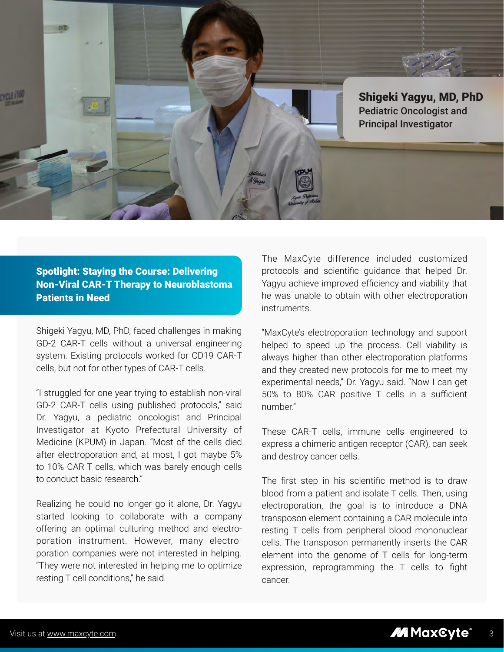

# Spotlight: Staying the Course: Delivering Non-Viral CAR-T Therapy to Neuroblastoma Patients in Need

Shigeki Yagyu, MD, PhD, faced challenges in making GD-2 CAR-T cells without a universal engineering system. Existing protocols worked for CD19 CAR-T cells, but not for other types of CAR-T cells.

"I struggled for one year trying to establish non-viral GD-2 CAR-T cells using published protocols," said Dr. Yagyu, a pediatric oncologist and Principal Investigator at Kyoto Prefectural University of Medicine (KPUM) in Japan. "Most of the cells died after electroporation and, at most, I got maybe 5% to 10% CAR-T cells, which was barely enough cells to conduct basic research"

Realizing he could no longer go it alone, Dr. Yagyu started looking to collaborate with a company offering an optimal culturing method and electroporation instrument. However, many electroporation companies were not interested in helping. "They were not interested in helping me to optimize resting T cell conditions," he said.

The MaxCyte difference included customized protocols and scientific guidance that helped Dr. Yagyu achieve improved efficiency and viability that he was unable to obtain with other electroporation instruments.

"MaxCyte's electroporation technology and support helped to speed up the process. Cell viability is always higher than other electroporation platforms and they created new protocols for me to meet my experimental needs," Dr. Yagyu said. "Now I can get 50% to 80% CAR positive T cells in a sufficient number."

These CAR-T cells, immune cells engineered to express a chimeric antigen receptor (CAR), can seek and destroy cancer cells.

The first step in his scientific method is to draw blood from a patient and isolate T cells. Then, using electroporation, the goal is to introduce a DNA transposon element containing a CAR molecule into resting T cells from peripheral blood mononuclear cells. The transposon permanently inserts the CAR element into the genome of T cells for long-term expression, reprogramming the T cells to fight cancer.

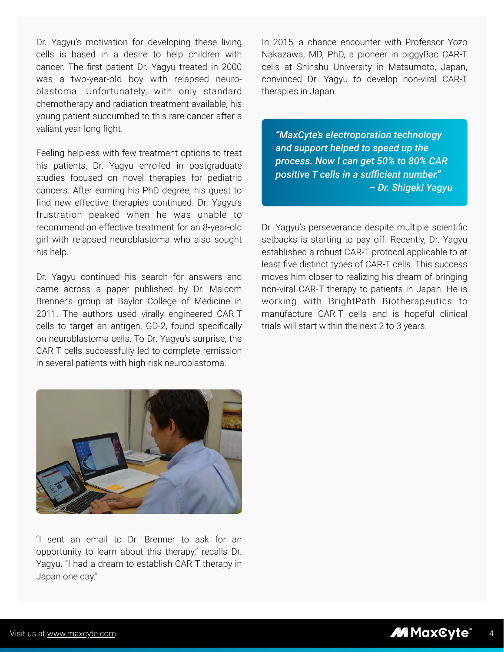Dr. Yagyu's motivation for developing these living cells is based in a desire to help children with cancer. The first patient Dr. Yagyu treated in 2000 was a two-year-old boy with relapsed neuroblastoma. Unfortunately, with only standard chemotherapy and radiation treatment available, his young patient succumbed to this rare cancer after a valiant year-long fight.

Feeling helpless with few treatment options to treat his patients, Dr. Yagyu enrolled in postgraduate studies focused on novel therapies for pediatric cancers. After earning his PhD degree, his quest to find new effective therapies continued. Dr. Yagyu's frustration peaked when he was unable to recommend an effective treatment for an 8-year-old girl with relapsed neuroblastoma who also sought his help.

Dr. Yagyu continued his search for answers and came across a paper published by Dr. Malcom Brenner's group at Baylor College of Medicine in 2011. The authors used virally engineered CAR-T cells to target an antigen, GD-2, found specifically on neuroblastoma cells. To Dr. Yagyu's surprise, the CAR-T cells successfully led to complete remission in several patients with high-risk neuroblastoma.

In 2015, a chance encounter with Professor Yozo Nakazawa, MD, PhD, a pioneer in piggyBac CAR-T cells at Shinshu University in Matsumoto, Japan, convinced Dr. Yagyu to develop non-viral CAR-T therapies in Japan.

*"MaxCyte's electroporation technology and support helped to speed up the process. Now I can get 50% to 80% CAR positive T cells in a sufficient number." – Dr. Shigeki Yagyu*

Dr. Yagyu's perseverance despite multiple scientific setbacks is starting to pay off. Recently, Dr. Yagyu established a robust CAR-T protocol applicable to at least five distinct types of CAR-T cells. This success moves him closer to realizing his dream of bringing non-viral CAR-T therapy to patients in Japan. He is working with BrightPath Biotherapeutics to manufacture CAR-T cells and is hopeful clinical trials will start within the next 2 to 3 years.



"I sent an email to Dr. Brenner to ask for an opportunity to learn about this therapy," recalls Dr. Yagyu. "I had a dream to establish CAR-T therapy in Japan one day."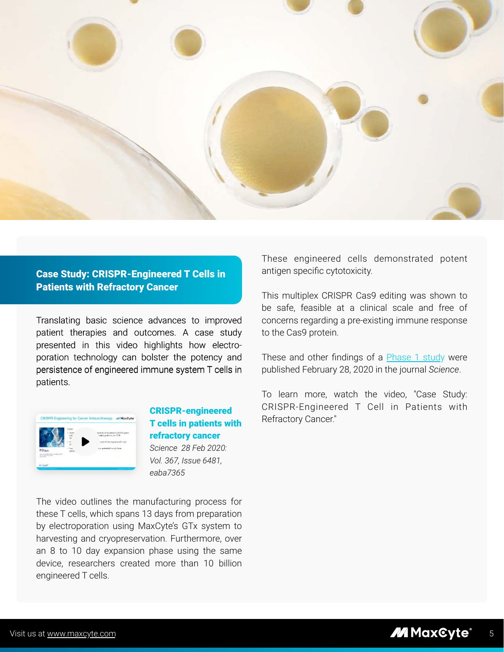

# Case Study: CRISPR-Engineered T Cells in Patients with Refractory Cancer

Translating basic science advances to improved patient therapies and outcomes. A case study presented in this video highlights how electroporation technology can bolster the potency and persistence of engineered immune system T cells in patients.



# CRISPR-engineered [T cells in patients with](https://www.youtube.com/watch?v=_Up2-Y4fVFQ&t)  refractory cancer *Science 28 Feb 2020: Vol. 367, Issue 6481, eaba7365*

The video outlines the manufacturing process for these T cells, which spans 13 days from preparation by electroporation using MaxCyte's GTx system to harvesting and cryopreservation. Furthermore, over an 8 to 10 day expansion phase using the same device, researchers created more than 10 billion engineered T cells.

These engineered cells demonstrated potent antigen specific cytotoxicity.

This multiplex CRISPR Cas9 editing was shown to be safe, feasible at a clinical scale and free of concerns regarding a pre-existing immune response to the Cas9 protein.

These and other findings of a **Phase 1 study** were published February 28, 2020 in the journal *Science*.

To learn more, watch the video, "Case Study: CRISPR-Engineered T Cell in Patients with Refractory Cancer."

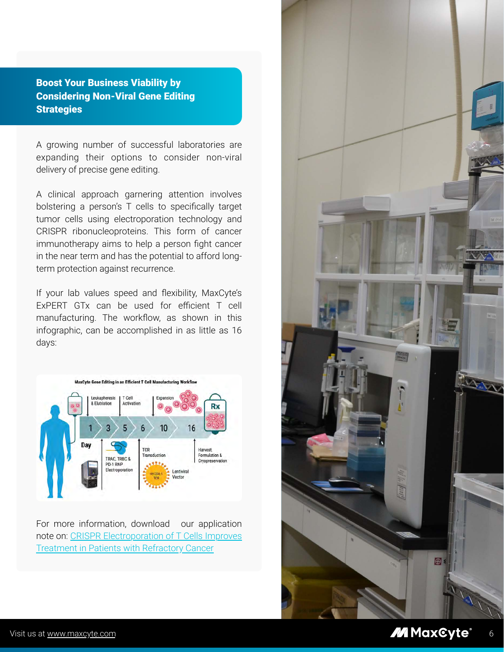Boost Your Business Viability by Considering Non-Viral Gene Editing **Strategies** 

A growing number of successful laboratories are expanding their options to consider non-viral delivery of precise gene editing.

A clinical approach garnering attention involves bolstering a person's T cells to specifically target tumor cells using electroporation technology and CRISPR ribonucleoproteins. This form of cancer immunotherapy aims to help a person fight cancer in the near term and has the potential to afford longterm protection against recurrence.

If your lab values speed and flexibility, MaxCyte's ExPERT GTx can be used for efficient T cell manufacturing. The workflow, as shown in this infographic, can be accomplished in as little as 16 days:



For more information, download our application [note on: CRISPR Electroporation of T Cells Improves](https://maxcyte.com/crispr-electroporation-of-t-cells/)  Treatment in Patients with Refractory Cancer

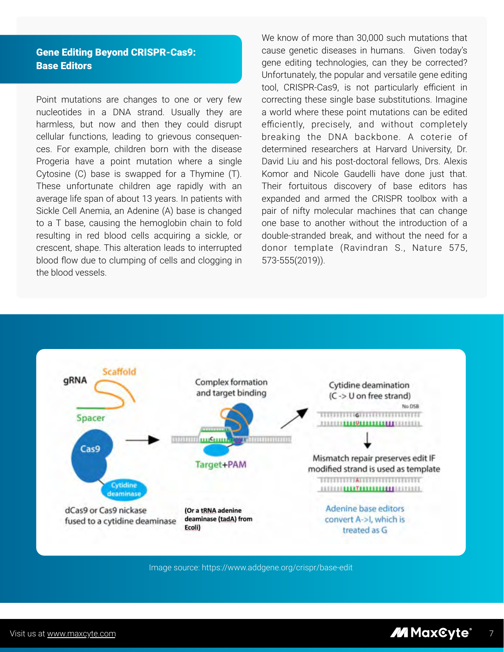# Gene Editing Beyond CRISPR-Cas9: Base Editors

Point mutations are changes to one or very few nucleotides in a DNA strand. Usually they are harmless, but now and then they could disrupt cellular functions, leading to grievous consequences. For example, children born with the disease Progeria have a point mutation where a single Cytosine (C) base is swapped for a Thymine (T). These unfortunate children age rapidly with an average life span of about 13 years. In patients with Sickle Cell Anemia, an Adenine (A) base is changed to a T base, causing the hemoglobin chain to fold resulting in red blood cells acquiring a sickle, or crescent, shape. This alteration leads to interrupted blood flow due to clumping of cells and clogging in the blood vessels.

We know of more than 30,000 such mutations that cause genetic diseases in humans. Given today's gene editing technologies, can they be corrected? Unfortunately, the popular and versatile gene editing tool, CRISPR-Cas9, is not particularly efficient in correcting these single base substitutions. Imagine a world where these point mutations can be edited efficiently, precisely, and without completely breaking the DNA backbone. A coterie of determined researchers at Harvard University, Dr. David Liu and his post-doctoral fellows, Drs. Alexis Komor and Nicole Gaudelli have done just that. Their fortuitous discovery of base editors has expanded and armed the CRISPR toolbox with a pair of nifty molecular machines that can change one base to another without the introduction of a double-stranded break, and without the need for a donor template (Ravindran S., Nature 575, 573-555(2019)).



Image source[: https://www.addgene.org/crispr/base-edit](https://www.addgene.org/crispr/base-edit/)

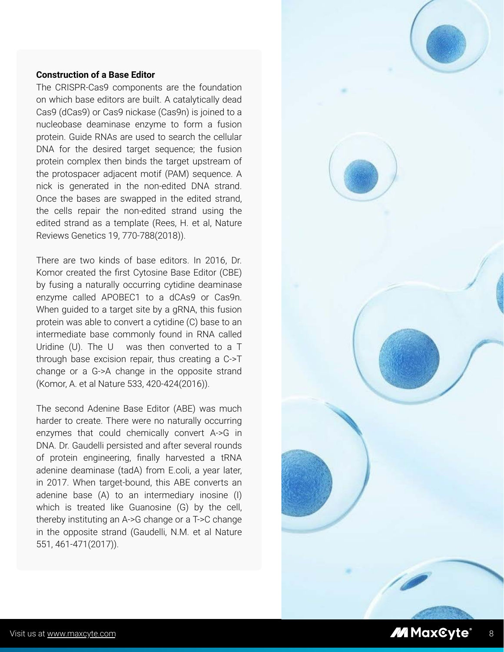### **Construction of a Base Editor**

The CRISPR-Cas9 components are the foundation on which base editors are built. A catalytically dead Cas9 (dCas9) or Cas9 nickase (Cas9n) is joined to a nucleobase deaminase enzyme to form a fusion protein. Guide RNAs are used to search the cellular DNA for the desired target sequence; the fusion protein complex then binds the target upstream of the protospacer adjacent motif (PAM) sequence. A nick is generated in the non-edited DNA strand. Once the bases are swapped in the edited strand, the cells repair the non-edited strand using the edited strand as a template (Rees, H. et al, Nature Reviews Genetics 19, 770-788(2018)).

There are two kinds of base editors. In 2016, Dr. Komor created the first Cytosine Base Editor (CBE) by fusing a naturally occurring cytidine deaminase enzyme called APOBEC1 to a dCAs9 or Cas9n. When guided to a target site by a gRNA, this fusion protein was able to convert a cytidine (C) base to an intermediate base commonly found in RNA called Uridine (U). The U was then converted to a T through base excision repair, thus creating a C->T change or a G->A change in the opposite strand (Komor, A. et al Nature 533, 420-424(2016)).

The second Adenine Base Editor (ABE) was much harder to create. There were no naturally occurring enzymes that could chemically convert A->G in DNA. Dr. Gaudelli persisted and after several rounds of protein engineering, finally harvested a tRNA adenine deaminase (tadA) from E.coli, a year later, in 2017. When target-bound, this ABE converts an adenine base (A) to an intermediary inosine (I) which is treated like Guanosine (G) by the cell, thereby instituting an A->G change or a T->C change in the opposite strand (Gaudelli, N.M. et al Nature 551, 461-471(2017)).

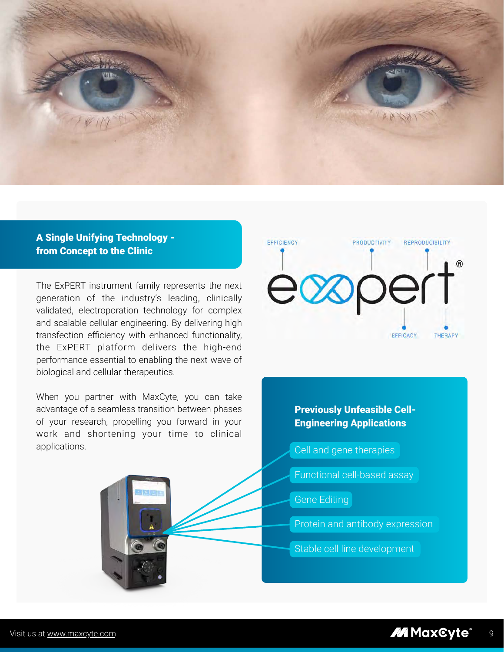

## A Single Unifying Technology from Concept to the Clinic

The ExPERT instrument family represents the next generation of the industry's leading, clinically validated, electroporation technology for complex and scalable cellular engineering. By delivering high transfection efficiency with enhanced functionality, the ExPERT platform delivers the high-end performance essential to enabling the next wave of biological and cellular therapeutics.

When you partner with MaxCyte, you can take advantage of a seamless transition between phases of your research, propelling you forward in your work and shortening your time to clinical applications.



# Previously Unfeasible Cell-Engineering Applications

Cell and gene therapies

- Functional cell-based assay
- Gene Editing
- Protein and antibody expression
- Stable cell line development